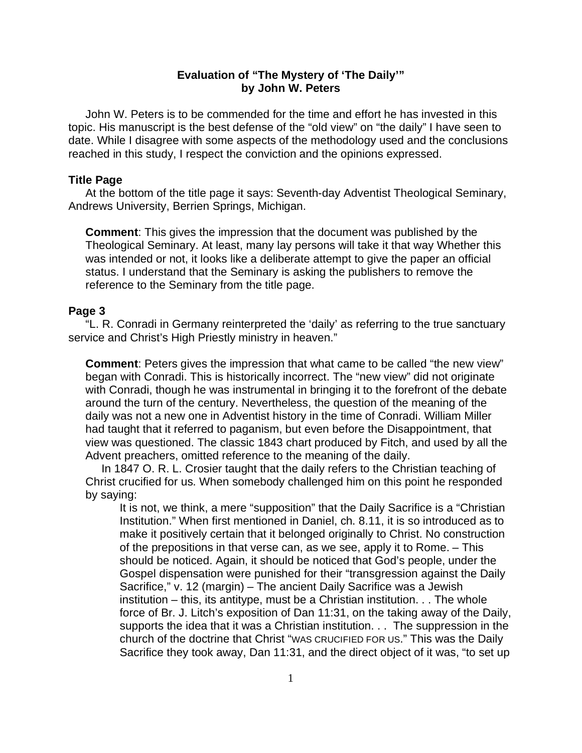# **Evaluation of "The Mystery of 'The Daily'" by John W. Peters**

 John W. Peters is to be commended for the time and effort he has invested in this topic. His manuscript is the best defense of the "old view" on "the daily" I have seen to date. While I disagree with some aspects of the methodology used and the conclusions reached in this study, I respect the conviction and the opinions expressed.

#### **Title Page**

 At the bottom of the title page it says: Seventh-day Adventist Theological Seminary, Andrews University, Berrien Springs, Michigan.

**Comment**: This gives the impression that the document was published by the Theological Seminary. At least, many lay persons will take it that way Whether this was intended or not, it looks like a deliberate attempt to give the paper an official status. I understand that the Seminary is asking the publishers to remove the reference to the Seminary from the title page.

# **Page 3**

 "L. R. Conradi in Germany reinterpreted the 'daily' as referring to the true sanctuary service and Christ's High Priestly ministry in heaven."

**Comment**: Peters gives the impression that what came to be called "the new view" began with Conradi. This is historically incorrect. The "new view" did not originate with Conradi, though he was instrumental in bringing it to the forefront of the debate around the turn of the century. Nevertheless, the question of the meaning of the daily was not a new one in Adventist history in the time of Conradi. William Miller had taught that it referred to paganism, but even before the Disappointment, that view was questioned. The classic 1843 chart produced by Fitch, and used by all the Advent preachers, omitted reference to the meaning of the daily.

 In 1847 O. R. L. Crosier taught that the daily refers to the Christian teaching of Christ crucified for us. When somebody challenged him on this point he responded by saying:

It is not, we think, a mere "supposition" that the Daily Sacrifice is a "Christian Institution." When first mentioned in Daniel, ch. 8.11, it is so introduced as to make it positively certain that it belonged originally to Christ. No construction of the prepositions in that verse can, as we see, apply it to Rome. – This should be noticed. Again, it should be noticed that God's people, under the Gospel dispensation were punished for their "transgression against the Daily Sacrifice," v. 12 (margin) – The ancient Daily Sacrifice was a Jewish institution – this, its antitype, must be a Christian institution. . . The whole force of Br. J. Litch's exposition of Dan 11:31, on the taking away of the Daily, supports the idea that it was a Christian institution. . . The suppression in the church of the doctrine that Christ "WAS CRUCIFIED FOR US." This was the Daily Sacrifice they took away, Dan 11:31, and the direct object of it was, "to set up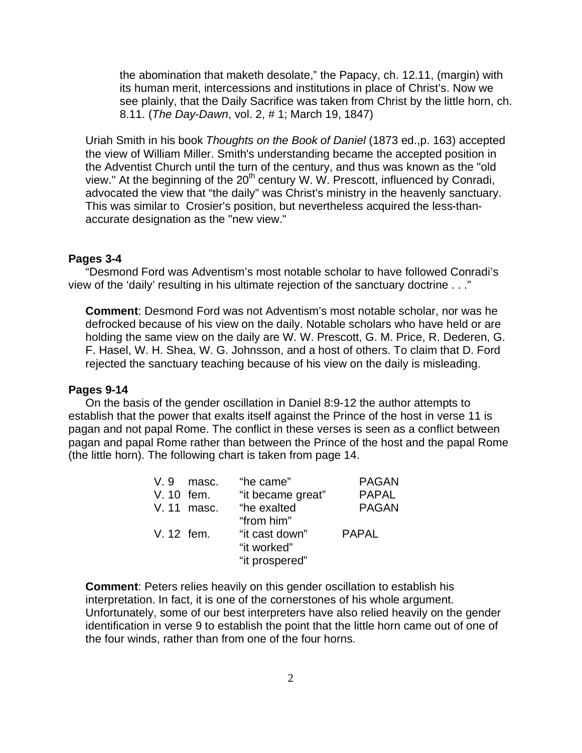the abomination that maketh desolate," the Papacy, ch. 12.11, (margin) with its human merit, intercessions and institutions in place of Christ's. Now we see plainly, that the Daily Sacrifice was taken from Christ by the little horn, ch. 8.11. (*The Day-Dawn*, vol. 2, # 1; March 19, 1847)

Uriah Smith in his book *Thoughts on the Book of Daniel* (1873 ed.,p. 163) accepted the view of William Miller. Smith's understanding became the accepted position in the Adventist Church until the turn of the century, and thus was known as the "old view." At the beginning of the  $20<sup>th</sup>$  century W. W. Prescott, influenced by Conradi, advocated the view that "the daily" was Christ's ministry in the heavenly sanctuary. This was similar to Crosier's position, but nevertheless acquired the less-thanaccurate designation as the "new view."

## **Pages 3-4**

 "Desmond Ford was Adventism's most notable scholar to have followed Conradi's view of the 'daily' resulting in his ultimate rejection of the sanctuary doctrine . . ."

**Comment**: Desmond Ford was not Adventism's most notable scholar, nor was he defrocked because of his view on the daily. Notable scholars who have held or are holding the same view on the daily are W. W. Prescott, G. M. Price, R. Dederen, G. F. Hasel, W. H. Shea, W. G. Johnsson, and a host of others. To claim that D. Ford rejected the sanctuary teaching because of his view on the daily is misleading.

## **Pages 9-14**

 On the basis of the gender oscillation in Daniel 8:9-12 the author attempts to establish that the power that exalts itself against the Prince of the host in verse 11 is pagan and not papal Rome. The conflict in these verses is seen as a conflict between pagan and papal Rome rather than between the Prince of the host and the papal Rome (the little horn). The following chart is taken from page 14.

| V. 9       | masc.       | "he came"         | <b>PAGAN</b> |
|------------|-------------|-------------------|--------------|
| V. 10 fem. |             | "it became great" | <b>PAPAL</b> |
|            | V. 11 masc. | "he exalted       | <b>PAGAN</b> |
|            |             | "from him"        |              |
| V. 12 fem. |             | "it cast down"    | <b>PAPAL</b> |
|            |             | "it worked"       |              |
|            |             | "it prospered"    |              |
|            |             |                   |              |

**Comment**: Peters relies heavily on this gender oscillation to establish his interpretation. In fact, it is one of the cornerstones of his whole argument. Unfortunately, some of our best interpreters have also relied heavily on the gender identification in verse 9 to establish the point that the little horn came out of one of the four winds, rather than from one of the four horns.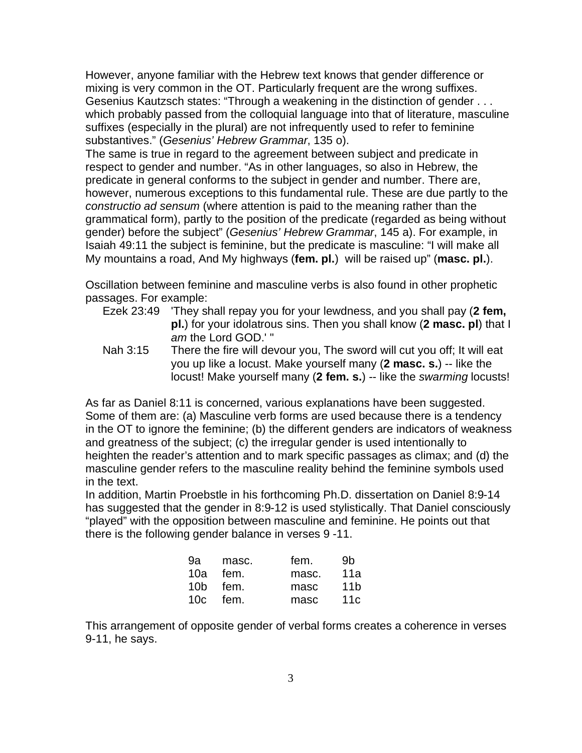However, anyone familiar with the Hebrew text knows that gender difference or mixing is very common in the OT. Particularly frequent are the wrong suffixes. Gesenius Kautzsch states: "Through a weakening in the distinction of gender . . . which probably passed from the colloquial language into that of literature, masculine suffixes (especially in the plural) are not infrequently used to refer to feminine substantives." (*Gesenius' Hebrew Grammar*, 135 o).

The same is true in regard to the agreement between subject and predicate in respect to gender and number. "As in other languages, so also in Hebrew, the predicate in general conforms to the subject in gender and number. There are, however, numerous exceptions to this fundamental rule. These are due partly to the *constructio ad sensum* (where attention is paid to the meaning rather than the grammatical form), partly to the position of the predicate (regarded as being without gender) before the subject" (*Gesenius' Hebrew Grammar*, 145 a). For example, in Isaiah 49:11 the subject is feminine, but the predicate is masculine: "I will make all My mountains a road, And My highways (**fem. pl.**) will be raised up" (**masc. pl.**).

Oscillation between feminine and masculine verbs is also found in other prophetic passages. For example:

- Ezek 23:49 'They shall repay you for your lewdness, and you shall pay (**2 fem, pl.**) for your idolatrous sins. Then you shall know (**2 masc. pl**) that I *am* the Lord GOD.' "
- Nah 3:15 There the fire will devour you, The sword will cut you off; It will eat you up like a locust. Make yourself many (**2 masc. s.**) -- like the locust! Make yourself many (**2 fem. s.**) -- like the *swarming* locusts!

As far as Daniel 8:11 is concerned, various explanations have been suggested. Some of them are: (a) Masculine verb forms are used because there is a tendency in the OT to ignore the feminine; (b) the different genders are indicators of weakness and greatness of the subject; (c) the irregular gender is used intentionally to heighten the reader's attention and to mark specific passages as climax; and (d) the masculine gender refers to the masculine reality behind the feminine symbols used in the text.

In addition, Martin Proebstle in his forthcoming Ph.D. dissertation on Daniel 8:9-14 has suggested that the gender in 8:9-12 is used stylistically. That Daniel consciously "played" with the opposition between masculine and feminine. He points out that there is the following gender balance in verses 9 -11.

| 9a masc. | fem.     | .9b   |
|----------|----------|-------|
| 10a fem. | masc.    | - 11a |
| 10b fem. | masc     | 11b   |
| 10c fem. | masc 11c |       |

This arrangement of opposite gender of verbal forms creates a coherence in verses 9-11, he says.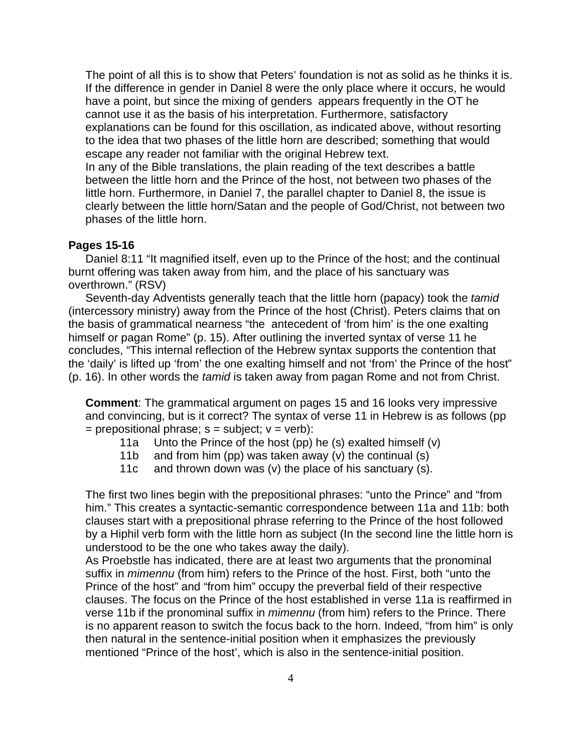The point of all this is to show that Peters' foundation is not as solid as he thinks it is. If the difference in gender in Daniel 8 were the only place where it occurs, he would have a point, but since the mixing of genders appears frequently in the OT he cannot use it as the basis of his interpretation. Furthermore, satisfactory explanations can be found for this oscillation, as indicated above, without resorting to the idea that two phases of the little horn are described; something that would escape any reader not familiar with the original Hebrew text. In any of the Bible translations, the plain reading of the text describes a battle between the little horn and the Prince of the host, not between two phases of the little horn. Furthermore, in Daniel 7, the parallel chapter to Daniel 8, the issue is clearly between the little horn/Satan and the people of God/Christ, not between two phases of the little horn.

## **Pages 15-16**

 Daniel 8:11 "It magnified itself, even up to the Prince of the host; and the continual burnt offering was taken away from him, and the place of his sanctuary was overthrown." (RSV)

 Seventh-day Adventists generally teach that the little horn (papacy) took the *tamid*  (intercessory ministry) away from the Prince of the host (Christ). Peters claims that on the basis of grammatical nearness "the antecedent of 'from him' is the one exalting himself or pagan Rome" (p. 15). After outlining the inverted syntax of verse 11 he concludes, "This internal reflection of the Hebrew syntax supports the contention that the 'daily' is lifted up 'from' the one exalting himself and not 'from' the Prince of the host" (p. 16). In other words the *tamid* is taken away from pagan Rome and not from Christ.

**Comment**: The grammatical argument on pages 15 and 16 looks very impressive and convincing, but is it correct? The syntax of verse 11 in Hebrew is as follows (pp  $=$  prepositional phrase;  $s =$  subject;  $v =$  verb):

- 11a Unto the Prince of the host (pp) he (s) exalted himself (v)
- 11b and from him (pp) was taken away (v) the continual (s)
- 11c and thrown down was (v) the place of his sanctuary (s).

The first two lines begin with the prepositional phrases: "unto the Prince" and "from him." This creates a syntactic-semantic correspondence between 11a and 11b: both clauses start with a prepositional phrase referring to the Prince of the host followed by a Hiphil verb form with the little horn as subject (In the second line the little horn is understood to be the one who takes away the daily).

As Proebstle has indicated, there are at least two arguments that the pronominal suffix in *mimennu* (from him) refers to the Prince of the host. First, both "unto the Prince of the host" and "from him" occupy the preverbal field of their respective clauses. The focus on the Prince of the host established in verse 11a is reaffirmed in verse 11b if the pronominal suffix in *mimennu* (from him) refers to the Prince. There is no apparent reason to switch the focus back to the horn. Indeed, "from him" is only then natural in the sentence-initial position when it emphasizes the previously mentioned "Prince of the host', which is also in the sentence-initial position.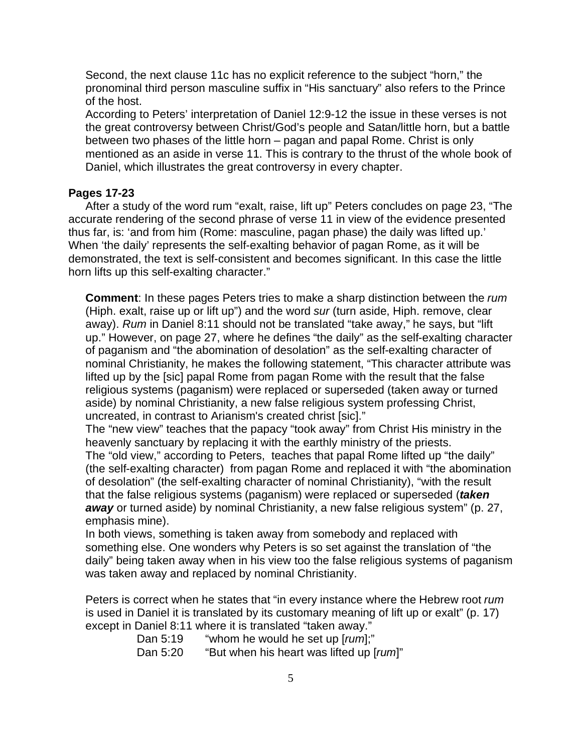Second, the next clause 11c has no explicit reference to the subject "horn," the pronominal third person masculine suffix in "His sanctuary" also refers to the Prince of the host.

According to Peters' interpretation of Daniel 12:9-12 the issue in these verses is not the great controversy between Christ/God's people and Satan/little horn, but a battle between two phases of the little horn – pagan and papal Rome. Christ is only mentioned as an aside in verse 11. This is contrary to the thrust of the whole book of Daniel, which illustrates the great controversy in every chapter.

## **Pages 17-23**

 After a study of the word rum "exalt, raise, lift up" Peters concludes on page 23, "The accurate rendering of the second phrase of verse 11 in view of the evidence presented thus far, is: 'and from him (Rome: masculine, pagan phase) the daily was lifted up.' When 'the daily' represents the self-exalting behavior of pagan Rome, as it will be demonstrated, the text is self-consistent and becomes significant. In this case the little horn lifts up this self-exalting character."

**Comment**: In these pages Peters tries to make a sharp distinction between the *rum*  (Hiph. exalt, raise up or lift up") and the word *sur* (turn aside, Hiph. remove, clear away). *Rum* in Daniel 8:11 should not be translated "take away," he says, but "lift up." However, on page 27, where he defines "the daily" as the self-exalting character of paganism and "the abomination of desolation" as the self-exalting character of nominal Christianity, he makes the following statement, "This character attribute was lifted up by the [sic] papal Rome from pagan Rome with the result that the false religious systems (paganism) were replaced or superseded (taken away or turned aside) by nominal Christianity, a new false religious system professing Christ, uncreated, in contrast to Arianism's created christ [sic]."

The "new view" teaches that the papacy "took away" from Christ His ministry in the heavenly sanctuary by replacing it with the earthly ministry of the priests.

The "old view," according to Peters, teaches that papal Rome lifted up "the daily" (the self-exalting character) from pagan Rome and replaced it with "the abomination of desolation" (the self-exalting character of nominal Christianity), "with the result that the false religious systems (paganism) were replaced or superseded (*taken away* or turned aside) by nominal Christianity, a new false religious system" (p. 27, emphasis mine).

In both views, something is taken away from somebody and replaced with something else. One wonders why Peters is so set against the translation of "the daily" being taken away when in his view too the false religious systems of paganism was taken away and replaced by nominal Christianity.

Peters is correct when he states that "in every instance where the Hebrew root *rum*  is used in Daniel it is translated by its customary meaning of lift up or exalt" (p. 17) except in Daniel 8:11 where it is translated "taken away."

Dan 5:19 "whom he would he set up [*rum*];"

Dan 5:20 "But when his heart was lifted up [*rum*]"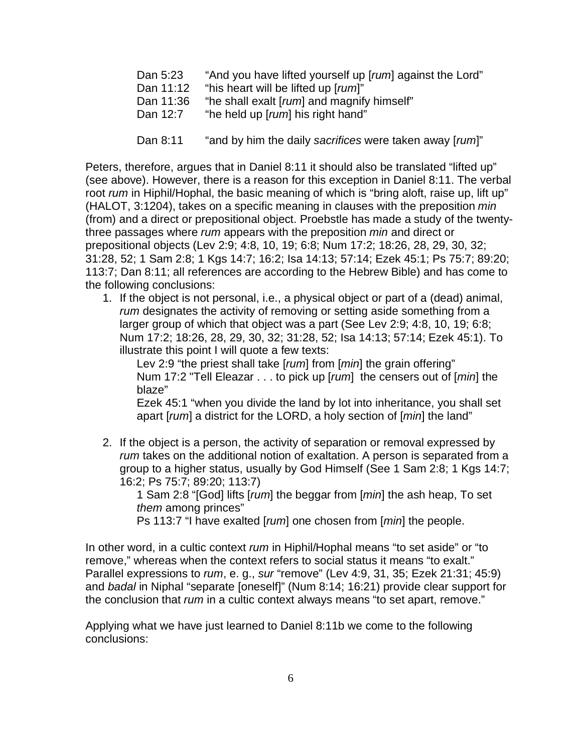- Dan 5:23 "And you have lifted yourself up [*rum*] against the Lord"
- Dan 11:12 "his heart will be lifted up [*rum*]"
- Dan 11:36 "he shall exalt [*rum*] and magnify himself"
- Dan 12:7 "he held up [*rum*] his right hand"
- Dan 8:11 "and by him the daily *sacrifices* were taken away [*rum*]"

Peters, therefore, argues that in Daniel 8:11 it should also be translated "lifted up" (see above). However, there is a reason for this exception in Daniel 8:11. The verbal root *rum* in Hiphil/Hophal, the basic meaning of which is "bring aloft, raise up, lift up" (HALOT, 3:1204), takes on a specific meaning in clauses with the preposition *min*  (from) and a direct or prepositional object. Proebstle has made a study of the twentythree passages where *rum* appears with the preposition *min* and direct or prepositional objects (Lev 2:9; 4:8, 10, 19; 6:8; Num 17:2; 18:26, 28, 29, 30, 32; 31:28, 52; 1 Sam 2:8; 1 Kgs 14:7; 16:2; Isa 14:13; 57:14; Ezek 45:1; Ps 75:7; 89:20; 113:7; Dan 8:11; all references are according to the Hebrew Bible) and has come to the following conclusions:

1. If the object is not personal, i.e., a physical object or part of a (dead) animal, *rum* designates the activity of removing or setting aside something from a larger group of which that object was a part (See Lev 2:9; 4:8, 10, 19; 6:8; Num 17:2; 18:26, 28, 29, 30, 32; 31:28, 52; Isa 14:13; 57:14; Ezek 45:1). To illustrate this point I will quote a few texts:

 Lev 2:9 "the priest shall take [*rum*] from [*min*] the grain offering" Num 17:2 "Tell Eleazar . . . to pick up [*rum*] the censers out of [*min*] the blaze"

Ezek 45:1 "when you divide the land by lot into inheritance, you shall set apart [*rum*] a district for the LORD, a holy section of [*min*] the land"

2. If the object is a person, the activity of separation or removal expressed by *rum* takes on the additional notion of exaltation. A person is separated from a group to a higher status, usually by God Himself (See 1 Sam 2:8; 1 Kgs 14:7; 16:2; Ps 75:7; 89:20; 113:7)

1 Sam 2:8 "[God] lifts [*rum*] the beggar from [*min*] the ash heap, To set *them* among princes"

Ps 113:7 "I have exalted [*rum*] one chosen from [*min*] the people.

In other word, in a cultic context *rum* in Hiphil/Hophal means "to set aside" or "to remove," whereas when the context refers to social status it means "to exalt." Parallel expressions to *rum*, e. g., *sur* "remove" (Lev 4:9, 31, 35; Ezek 21:31; 45:9) and *badal* in Niphal "separate [oneself]" (Num 8:14; 16:21) provide clear support for the conclusion that *rum* in a cultic context always means "to set apart, remove."

Applying what we have just learned to Daniel 8:11b we come to the following conclusions: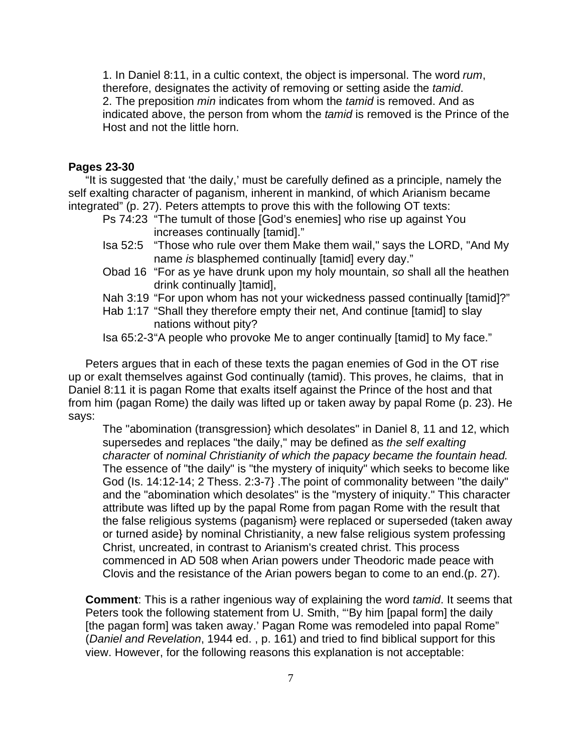1. In Daniel 8:11, in a cultic context, the object is impersonal. The word *rum*, therefore, designates the activity of removing or setting aside the *tamid*. 2. The preposition *min* indicates from whom the *tamid* is removed. And as indicated above, the person from whom the *tamid* is removed is the Prince of the Host and not the little horn.

# **Pages 23-30**

 "It is suggested that 'the daily,' must be carefully defined as a principle, namely the self exalting character of paganism, inherent in mankind, of which Arianism became integrated" (p. 27). Peters attempts to prove this with the following OT texts:

- Ps 74:23 "The tumult of those [God's enemies] who rise up against You increases continually [tamid]."
- Isa 52:5 "Those who rule over them Make them wail," says the LORD, "And My name *is* blasphemed continually [tamid] every day."
- Obad 16 "For as ye have drunk upon my holy mountain, *so* shall all the heathen drink continually ]tamid],
- Nah 3:19 "For upon whom has not your wickedness passed continually [tamid]?"
- Hab 1:17 "Shall they therefore empty their net, And continue [tamid] to slay nations without pity?

Isa 65:2-3 "A people who provoke Me to anger continually [tamid] to My face."

 Peters argues that in each of these texts the pagan enemies of God in the OT rise up or exalt themselves against God continually (tamid). This proves, he claims, that in Daniel 8:11 it is pagan Rome that exalts itself against the Prince of the host and that from him (pagan Rome) the daily was lifted up or taken away by papal Rome (p. 23). He says:

The "abomination (transgression} which desolates" in Daniel 8, 11 and 12, which supersedes and replaces "the daily," may be defined as *the self exalting character* of *nominal Christianity of which the papacy became the fountain head.*  The essence of "the daily" is "the mystery of iniquity" which seeks to become like God (Is. 14:12-14; 2 Thess. 2:3-7} .The point of commonality between "the daily" and the "abomination which desolates" is the "mystery of iniquity." This character attribute was lifted up by the papal Rome from pagan Rome with the result that the false religious systems (paganism} were replaced or superseded (taken away or turned aside} by nominal Christianity, a new false religious system professing Christ, uncreated, in contrast to Arianism's created christ. This process commenced in AD 508 when Arian powers under Theodoric made peace with Clovis and the resistance of the Arian powers began to come to an end.(p. 27).

**Comment**: This is a rather ingenious way of explaining the word *tamid*. It seems that Peters took the following statement from U. Smith, "'By him [papal form] the daily [the pagan form] was taken away.' Pagan Rome was remodeled into papal Rome" (*Daniel and Revelation*, 1944 ed. , p. 161) and tried to find biblical support for this view. However, for the following reasons this explanation is not acceptable: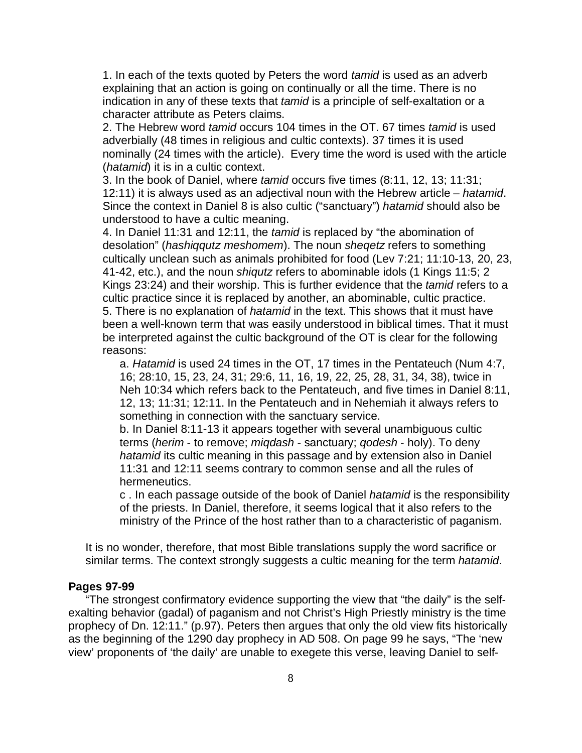1. In each of the texts quoted by Peters the word *tamid* is used as an adverb explaining that an action is going on continually or all the time. There is no indication in any of these texts that *tamid* is a principle of self-exaltation or a character attribute as Peters claims.

 2. The Hebrew word *tamid* occurs 104 times in the OT. 67 times *tamid* is used adverbially (48 times in religious and cultic contexts). 37 times it is used nominally (24 times with the article). Every time the word is used with the article (*hatamid*) it is in a cultic context.

3. In the book of Daniel, where *tamid* occurs five times (8:11, 12, 13; 11:31; 12:11) it is always used as an adjectival noun with the Hebrew article – *hatamid*. Since the context in Daniel 8 is also cultic ("sanctuary") *hatamid* should also be understood to have a cultic meaning.

4. In Daniel 11:31 and 12:11, the *tamid* is replaced by "the abomination of desolation" (*hashiqqutz meshomem*). The noun *sheqetz* refers to something cultically unclean such as animals prohibited for food (Lev 7:21; 11:10-13, 20, 23, 41-42, etc.), and the noun *shiqutz* refers to abominable idols (1 Kings 11:5; 2 Kings 23:24) and their worship. This is further evidence that the *tamid* refers to a cultic practice since it is replaced by another, an abominable, cultic practice. 5. There is no explanation of *hatamid* in the text. This shows that it must have been a well-known term that was easily understood in biblical times. That it must be interpreted against the cultic background of the OT is clear for the following reasons:

a. *Hatamid* is used 24 times in the OT, 17 times in the Pentateuch (Num 4:7, 16; 28:10, 15, 23, 24, 31; 29:6, 11, 16, 19, 22, 25, 28, 31, 34, 38), twice in Neh 10:34 which refers back to the Pentateuch, and five times in Daniel 8:11, 12, 13; 11:31; 12:11. In the Pentateuch and in Nehemiah it always refers to something in connection with the sanctuary service.

 b. In Daniel 8:11-13 it appears together with several unambiguous cultic terms (*herim* - to remove; *miqdash* - sanctuary; *qodesh* - holy). To deny *hatamid* its cultic meaning in this passage and by extension also in Daniel 11:31 and 12:11 seems contrary to common sense and all the rules of hermeneutics.

 c . In each passage outside of the book of Daniel *hatamid* is the responsibility of the priests. In Daniel, therefore, it seems logical that it also refers to the ministry of the Prince of the host rather than to a characteristic of paganism.

It is no wonder, therefore, that most Bible translations supply the word sacrifice or similar terms. The context strongly suggests a cultic meaning for the term *hatamid*.

## **Pages 97-99**

 "The strongest confirmatory evidence supporting the view that "the daily" is the selfexalting behavior (gadal) of paganism and not Christ's High Priestly ministry is the time prophecy of Dn. 12:11." (p.97). Peters then argues that only the old view fits historically as the beginning of the 1290 day prophecy in AD 508. On page 99 he says, "The 'new view' proponents of 'the daily' are unable to exegete this verse, leaving Daniel to self-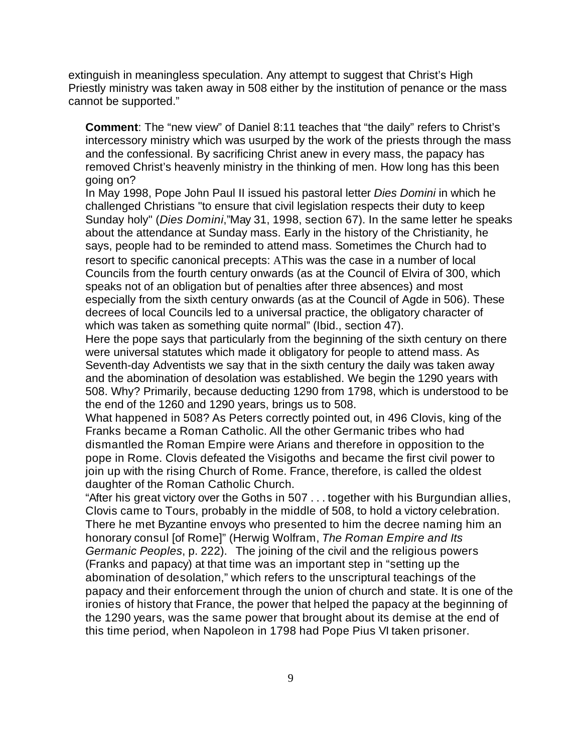extinguish in meaningless speculation. Any attempt to suggest that Christ's High Priestly ministry was taken away in 508 either by the institution of penance or the mass cannot be supported."

**Comment**: The "new view" of Daniel 8:11 teaches that "the daily" refers to Christ's intercessory ministry which was usurped by the work of the priests through the mass and the confessional. By sacrificing Christ anew in every mass, the papacy has removed Christ's heavenly ministry in the thinking of men. How long has this been going on?

In May 1998, Pope John Paul II issued his pastoral letter *Dies Domini* in which he challenged Christians "to ensure that civil legislation respects their duty to keep Sunday holy" (*Dies Domini*,"May 31, 1998, section 67). In the same letter he speaks about the attendance at Sunday mass. Early in the history of the Christianity, he says, people had to be reminded to attend mass. Sometimes the Church had to resort to specific canonical precepts: AThis was the case in a number of local Councils from the fourth century onwards (as at the Council of Elvira of 300, which speaks not of an obligation but of penalties after three absences) and most especially from the sixth century onwards (as at the Council of Agde in 506). These decrees of local Councils led to a universal practice, the obligatory character of which was taken as something quite normal" (Ibid., section 47).

Here the pope says that particularly from the beginning of the sixth century on there were universal statutes which made it obligatory for people to attend mass. As Seventh-day Adventists we say that in the sixth century the daily was taken away and the abomination of desolation was established. We begin the 1290 years with 508. Why? Primarily, because deducting 1290 from 1798, which is understood to be the end of the 1260 and 1290 years, brings us to 508.

What happened in 508? As Peters correctly pointed out, in 496 Clovis, king of the Franks became a Roman Catholic. All the other Germanic tribes who had dismantled the Roman Empire were Arians and therefore in opposition to the pope in Rome. Clovis defeated the Visigoths and became the first civil power to join up with the rising Church of Rome. France, therefore, is called the oldest daughter of the Roman Catholic Church.

"After his great victory over the Goths in 507 . . . together with his Burgundian allies, Clovis came to Tours, probably in the middle of 508, to hold a victory celebration. There he met Byzantine envoys who presented to him the decree naming him an honorary consul [of Rome]" (Herwig Wolfram, *The Roman Empire and Its Germanic Peoples*, p. 222). The joining of the civil and the religious powers (Franks and papacy) at that time was an important step in "setting up the abomination of desolation," which refers to the unscriptural teachings of the papacy and their enforcement through the union of church and state. It is one of the ironies of history that France, the power that helped the papacy at the beginning of the 1290 years, was the same power that brought about its demise at the end of this time period, when Napoleon in 1798 had Pope Pius VI taken prisoner.